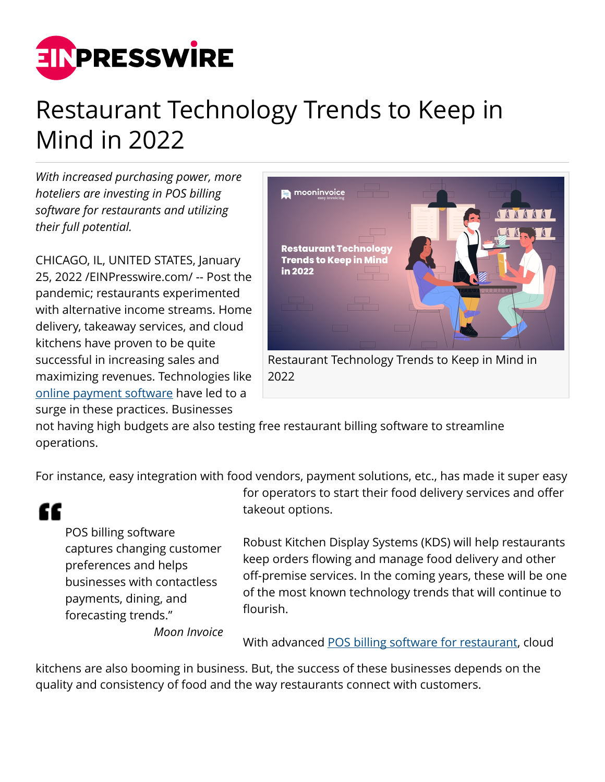

## Restaurant Technology Trends to Keep in Mind in 2022

*With increased purchasing power, more hoteliers are investing in POS billing software for restaurants and utilizing their full potential.*

CHICAGO, IL, UNITED STATES, January 25, 2022 /[EINPresswire.com/](http://www.einpresswire.com) -- Post the pandemic; restaurants experimented with alternative income streams. Home delivery, takeaway services, and cloud kitchens have proven to be quite successful in increasing sales and maximizing revenues. Technologies like [online payment software](https://www.mooninvoice.com/payment-processing-software) have led to a surge in these practices. Businesses



not having high budgets are also testing free restaurant billing software to streamline operations.

For instance, easy integration with food vendors, payment solutions, etc., has made it super easy

££

POS billing software captures changing customer preferences and helps businesses with contactless payments, dining, and forecasting trends."

for operators to start their food delivery services and offer takeout options.

Robust Kitchen Display Systems (KDS) will help restaurants keep orders flowing and manage food delivery and other off-premise services. In the coming years, these will be one of the most known technology trends that will continue to flourish.

*Moon Invoice*

With advanced [POS billing software for restaurant,](https://www.mooninvoice.com/pos-billing-software) cloud

kitchens are also booming in business. But, the success of these businesses depends on the quality and consistency of food and the way restaurants connect with customers.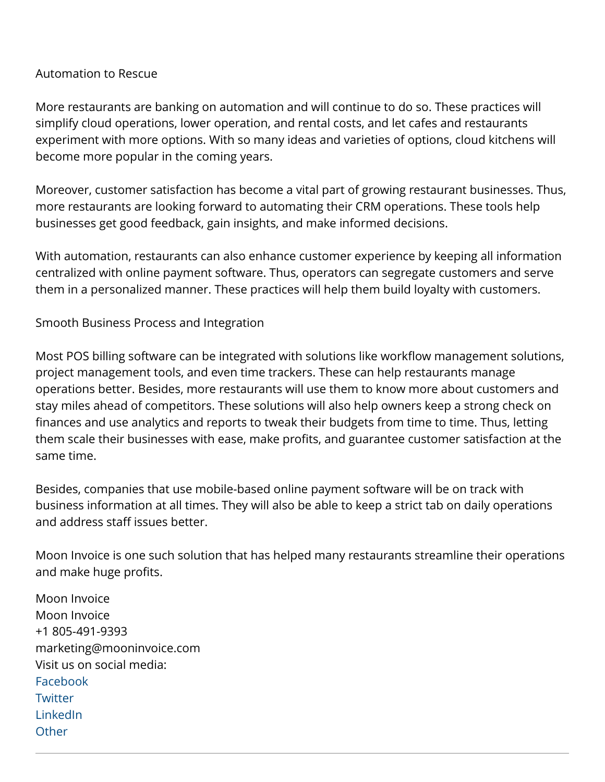## Automation to Rescue

More restaurants are banking on automation and will continue to do so. These practices will simplify cloud operations, lower operation, and rental costs, and let cafes and restaurants experiment with more options. With so many ideas and varieties of options, cloud kitchens will become more popular in the coming years.

Moreover, customer satisfaction has become a vital part of growing restaurant businesses. Thus, more restaurants are looking forward to automating their CRM operations. These tools help businesses get good feedback, gain insights, and make informed decisions.

With automation, restaurants can also enhance customer experience by keeping all information centralized with online payment software. Thus, operators can segregate customers and serve them in a personalized manner. These practices will help them build loyalty with customers.

Smooth Business Process and Integration

Most POS billing software can be integrated with solutions like workflow management solutions, project management tools, and even time trackers. These can help restaurants manage operations better. Besides, more restaurants will use them to know more about customers and stay miles ahead of competitors. These solutions will also help owners keep a strong check on finances and use analytics and reports to tweak their budgets from time to time. Thus, letting them scale their businesses with ease, make profits, and guarantee customer satisfaction at the same time.

Besides, companies that use mobile-based online payment software will be on track with business information at all times. They will also be able to keep a strict tab on daily operations and address staff issues better.

Moon Invoice is one such solution that has helped many restaurants streamline their operations and make huge profits.

Moon Invoice Moon Invoice +1 805-491-9393 marketing@mooninvoice.com Visit us on social media: [Facebook](https://www.facebook.com/mooninvoice/) **[Twitter](https://twitter.com/mooninvoice)** [LinkedIn](https://www.linkedin.com/company/moon-invoice/) **[Other](https://www.instagram.com/mooninvoiceapp/)**